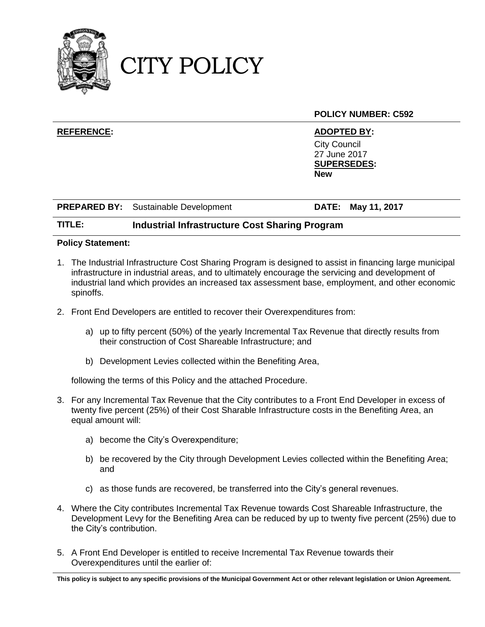

CITY POLICY

|                   |                                             | <b>POLICY NUMBER: C592</b>                                                                    |
|-------------------|---------------------------------------------|-----------------------------------------------------------------------------------------------|
| <b>REFERENCE:</b> |                                             | <b>ADOPTED BY:</b><br><b>City Council</b><br>27 June 2017<br><b>SUPERSEDES:</b><br><b>New</b> |
|                   | <b>PREPARED BY:</b> Sustainable Development | DATE: May 11, 2017                                                                            |

## **TITLE: Industrial Infrastructure Cost Sharing Program**

### **Policy Statement:**

- 1. The Industrial Infrastructure Cost Sharing Program is designed to assist in financing large municipal infrastructure in industrial areas, and to ultimately encourage the servicing and development of industrial land which provides an increased tax assessment base, employment, and other economic spinoffs.
- 2. Front End Developers are entitled to recover their Overexpenditures from:
	- a) up to fifty percent (50%) of the yearly Incremental Tax Revenue that directly results from their construction of Cost Shareable Infrastructure; and
	- b) Development Levies collected within the Benefiting Area,

following the terms of this Policy and the attached Procedure.

- 3. For any Incremental Tax Revenue that the City contributes to a Front End Developer in excess of twenty five percent (25%) of their Cost Sharable Infrastructure costs in the Benefiting Area, an equal amount will:
	- a) become the City's Overexpenditure;
	- b) be recovered by the City through Development Levies collected within the Benefiting Area; and
	- c) as those funds are recovered, be transferred into the City's general revenues.
- 4. Where the City contributes Incremental Tax Revenue towards Cost Shareable Infrastructure, the Development Levy for the Benefiting Area can be reduced by up to twenty five percent (25%) due to the City's contribution.
- <span id="page-0-0"></span>5. A Front End Developer is entitled to receive Incremental Tax Revenue towards their Overexpenditures until the earlier of:

**This policy is subject to any specific provisions of the Municipal Government Act or other relevant legislation or Union Agreement.**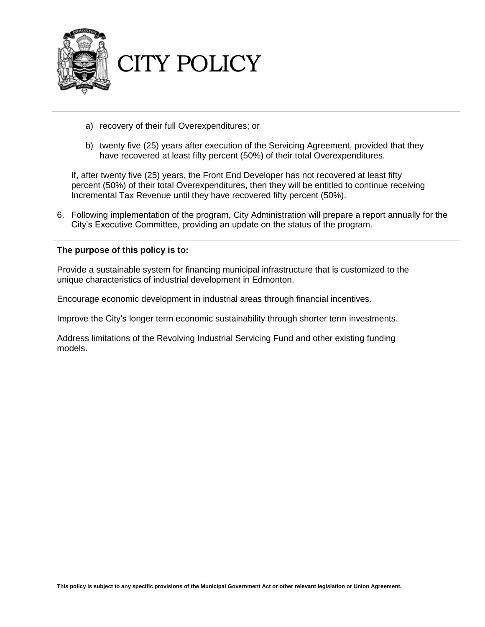

- a) recovery of their full Overexpenditures; or
- b) twenty five (25) years after execution of the Servicing Agreement, provided that they have recovered at least fifty percent (50%) of their total Overexpenditures.

If, after twenty five (25) years, the Front End Developer has not recovered at least fifty percent (50%) of their total Overexpenditures, then they will be entitled to continue receiving Incremental Tax Revenue until they have recovered fifty percent (50%).

6. Following implementation of the program, City Administration will prepare a report annually for the City's Executive Committee, providing an update on the status of the program.

### **The purpose of this policy is to:**

Provide a sustainable system for financing municipal infrastructure that is customized to the unique characteristics of industrial development in Edmonton.

Encourage economic development in industrial areas through financial incentives.

Improve the City's longer term economic sustainability through shorter term investments.

Address limitations of the Revolving Industrial Servicing Fund and other existing funding models.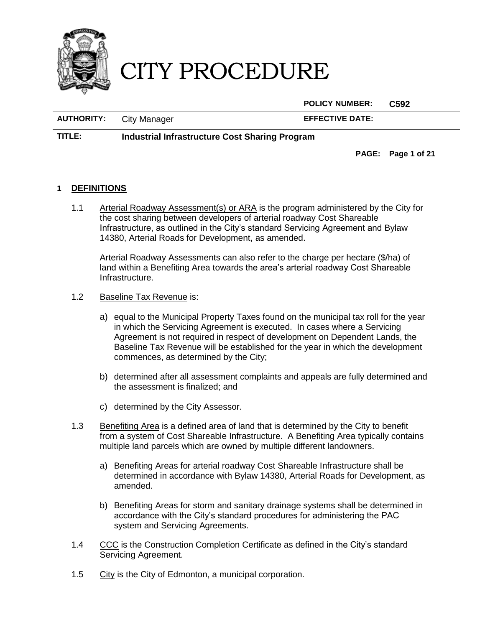

**POLICY NUMBER: C592**

**AUTHORITY:** City Manager **EFFECTIVE DATE:**

**TITLE: Industrial Infrastructure Cost Sharing Program**

**PAGE: Page 1 of 21**

# **1 DEFINITIONS**

1.1 Arterial Roadway Assessment(s) or ARA is the program administered by the City for the cost sharing between developers of arterial roadway Cost Shareable Infrastructure, as outlined in the City's standard Servicing Agreement and Bylaw 14380, Arterial Roads for Development, as amended.

Arterial Roadway Assessments can also refer to the charge per hectare (\$/ha) of land within a Benefiting Area towards the area's arterial roadway Cost Shareable Infrastructure.

- 1.2 Baseline Tax Revenue is:
	- a) equal to the Municipal Property Taxes found on the municipal tax roll for the year in which the Servicing Agreement is executed. In cases where a Servicing Agreement is not required in respect of development on Dependent Lands, the Baseline Tax Revenue will be established for the year in which the development commences, as determined by the City;
	- b) determined after all assessment complaints and appeals are fully determined and the assessment is finalized; and
	- c) determined by the City Assessor.
- 1.3 Benefiting Area is a defined area of land that is determined by the City to benefit from a system of Cost Shareable Infrastructure. A Benefiting Area typically contains multiple land parcels which are owned by multiple different landowners.
	- a) Benefiting Areas for arterial roadway Cost Shareable Infrastructure shall be determined in accordance with Bylaw 14380, Arterial Roads for Development, as amended.
	- b) Benefiting Areas for storm and sanitary drainage systems shall be determined in accordance with the City's standard procedures for administering the PAC system and Servicing Agreements.
- 1.4 CCC is the Construction Completion Certificate as defined in the City's standard Servicing Agreement.
- 1.5 City is the City of Edmonton, a municipal corporation.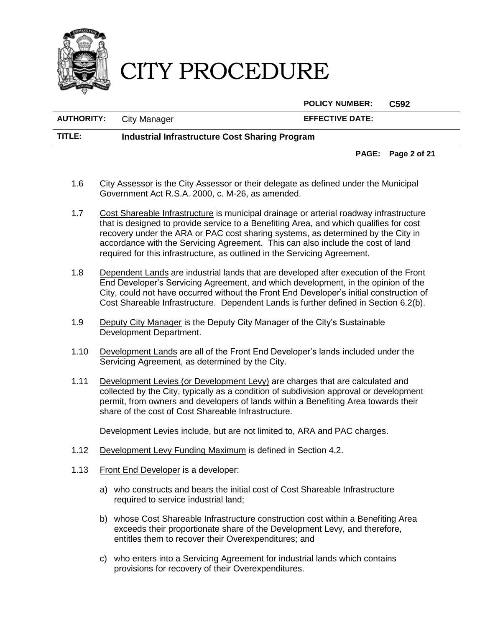

**POLICY NUMBER: C592**

**AUTHORITY:** City Manager **EFFECTIVE DATE:**

**TITLE: Industrial Infrastructure Cost Sharing Program**

**PAGE: Page 2 of 21**

- 1.6 City Assessor is the City Assessor or their delegate as defined under the Municipal Government Act R.S.A. 2000, c. M-26, as amended.
- 1.7 Cost Shareable Infrastructure is municipal drainage or arterial roadway infrastructure that is designed to provide service to a Benefiting Area, and which qualifies for cost recovery under the ARA or PAC cost sharing systems, as determined by the City in accordance with the Servicing Agreement. This can also include the cost of land required for this infrastructure, as outlined in the Servicing Agreement.
- 1.8 Dependent Lands are industrial lands that are developed after execution of the Front End Developer's Servicing Agreement, and which development, in the opinion of the City, could not have occurred without the Front End Developer's initial construction of Cost Shareable Infrastructure. Dependent Lands is further defined in Section [6.2\(](#page-12-0)[b\).](#page-13-0)
- 1.9 Deputy City Manager is the Deputy City Manager of the City's Sustainable Development Department.
- 1.10 Development Lands are all of the Front End Developer's lands included under the Servicing Agreement, as determined by the City.
- 1.11 Development Levies (or Development Levy) are charges that are calculated and collected by the City, typically as a condition of subdivision approval or development permit, from owners and developers of lands within a Benefiting Area towards their share of the cost of Cost Shareable Infrastructure.

Development Levies include, but are not limited to, ARA and PAC charges.

- 1.12 Development Levy Funding Maximum is defined in Section [4.2.](#page-8-0)
- <span id="page-3-0"></span>1.13 Front End Developer is a developer:
	- a) who constructs and bears the initial cost of Cost Shareable Infrastructure required to service industrial land;
	- b) whose Cost Shareable Infrastructure construction cost within a Benefiting Area exceeds their proportionate share of the Development Levy, and therefore, entitles them to recover their Overexpenditures; and
	- c) who enters into a Servicing Agreement for industrial lands which contains provisions for recovery of their Overexpenditures.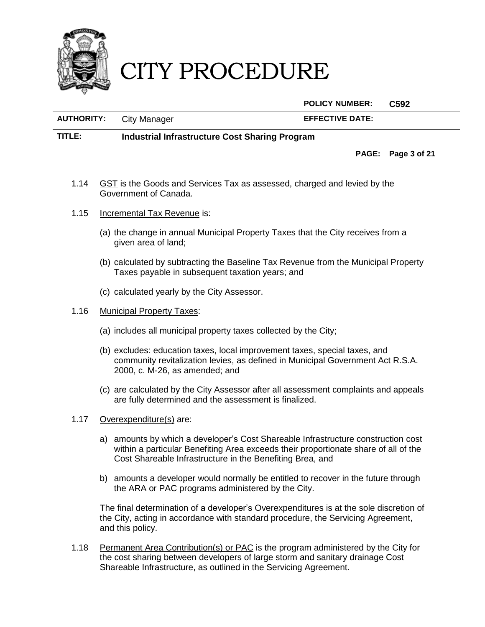

**POLICY NUMBER: C592**

**AUTHORITY:** City Manager **EFFECTIVE DATE: TITLE: Industrial Infrastructure Cost Sharing Program**

**PAGE: Page 3 of 21**

- 1.14 GST is the Goods and Services Tax as assessed, charged and levied by the Government of Canada.
- 1.15 Incremental Tax Revenue is:
	- (a) the change in annual Municipal Property Taxes that the City receives from a given area of land;
	- (b) calculated by subtracting the Baseline Tax Revenue from the Municipal Property Taxes payable in subsequent taxation years; and
	- (c) calculated yearly by the City Assessor.
- 1.16 Municipal Property Taxes:
	- (a) includes all municipal property taxes collected by the City;
	- (b) excludes: education taxes, local improvement taxes, special taxes, and community revitalization levies, as defined in Municipal Government Act R.S.A. 2000, c. M-26, as amended; and
	- (c) are calculated by the City Assessor after all assessment complaints and appeals are fully determined and the assessment is finalized.
- 1.17 Overexpenditure(s) are:
	- a) amounts by which a developer's Cost Shareable Infrastructure construction cost within a particular Benefiting Area exceeds their proportionate share of all of the Cost Shareable Infrastructure in the Benefiting Brea, and
	- b) amounts a developer would normally be entitled to recover in the future through the ARA or PAC programs administered by the City.

The final determination of a developer's Overexpenditures is at the sole discretion of the City, acting in accordance with standard procedure, the Servicing Agreement, and this policy.

1.18 Permanent Area Contribution(s) or PAC is the program administered by the City for the cost sharing between developers of large storm and sanitary drainage Cost Shareable Infrastructure, as outlined in the Servicing Agreement.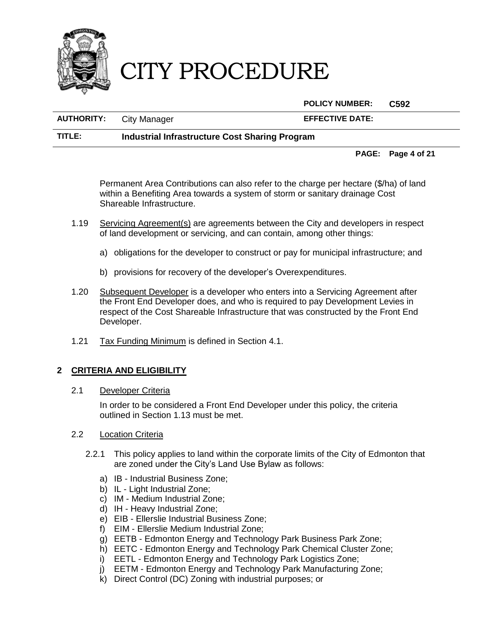

**POLICY NUMBER: C592**

**AUTHORITY:** City Manager **EFFECTIVE DATE:**

## **TITLE: Industrial Infrastructure Cost Sharing Program**

**PAGE: Page 4 of 21**

Permanent Area Contributions can also refer to the charge per hectare (\$/ha) of land within a Benefiting Area towards a system of storm or sanitary drainage Cost Shareable Infrastructure.

- 1.19 Servicing Agreement(s) are agreements between the City and developers in respect of land development or servicing, and can contain, among other things:
	- a) obligations for the developer to construct or pay for municipal infrastructure; and
	- b) provisions for recovery of the developer's Overexpenditures.
- 1.20 Subsequent Developer is a developer who enters into a Servicing Agreement after the Front End Developer does, and who is required to pay Development Levies in respect of the Cost Shareable Infrastructure that was constructed by the Front End Developer.
- 1.21 Tax Funding Minimum is defined in Section [4.1.](#page-7-0)

# **2 CRITERIA AND ELIGIBILITY**

2.1 Developer Criteria

In order to be considered a Front End Developer under this policy, the criteria outlined in Section [1.13](#page-3-0) must be met.

- 2.2 Location Criteria
	- 2.2.1 This policy applies to land within the corporate limits of the City of Edmonton that are zoned under the City's Land Use Bylaw as follows:
		- a) IB Industrial Business Zone;
		- b) IL Light Industrial Zone;
		- c) IM Medium Industrial Zone;
		- d) IH Heavy Industrial Zone;
		- e) EIB Ellerslie Industrial Business Zone;
		- f) EIM Ellerslie Medium Industrial Zone;
		- g) EETB Edmonton Energy and Technology Park Business Park Zone;
		- h) EETC Edmonton Energy and Technology Park Chemical Cluster Zone;
		- i) EETL Edmonton Energy and Technology Park Logistics Zone;
		- j) EETM Edmonton Energy and Technology Park Manufacturing Zone;
		- k) Direct Control (DC) Zoning with industrial purposes; or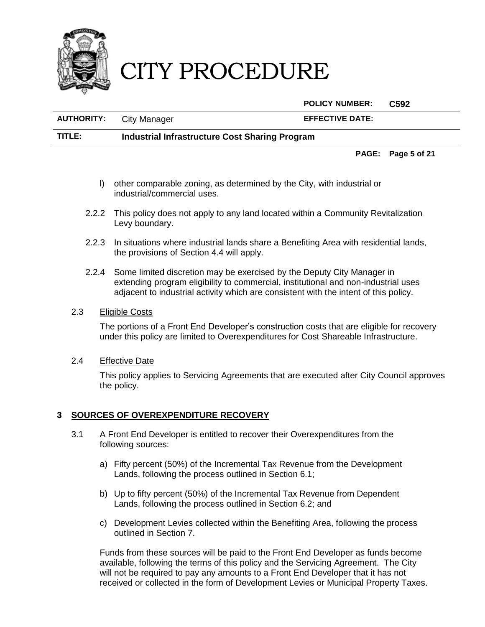

**POLICY NUMBER: C592**

**AUTHORITY:** City Manager **EFFECTIVE DATE: TITLE: Industrial Infrastructure Cost Sharing Program**

**PAGE: Page 5 of 21**

- l) other comparable zoning, as determined by the City, with industrial or industrial/commercial uses.
- 2.2.2 This policy does not apply to any land located within a Community Revitalization Levy boundary.
- 2.2.3 In situations where industrial lands share a Benefiting Area with residential lands, the provisions of Section [4.4](#page-9-0) will apply.
- 2.2.4 Some limited discretion may be exercised by the Deputy City Manager in extending program eligibility to commercial, institutional and non-industrial uses adjacent to industrial activity which are consistent with the intent of this policy.

### 2.3 Eligible Costs

The portions of a Front End Developer's construction costs that are eligible for recovery under this policy are limited to Overexpenditures for Cost Shareable Infrastructure.

2.4 Effective Date

This policy applies to Servicing Agreements that are executed after City Council approves the policy.

### **3 SOURCES OF OVEREXPENDITURE RECOVERY**

- 3.1 A Front End Developer is entitled to recover their Overexpenditures from the following sources:
	- a) Fifty percent (50%) of the Incremental Tax Revenue from the Development Lands, following the process outlined in Section [6.1;](#page-12-1)
	- b) Up to fifty percent (50%) of the Incremental Tax Revenue from Dependent Lands, following the process outlined in Section [6.2;](#page-12-0) and
	- c) Development Levies collected within the Benefiting Area, following the process outlined in Section [7.](#page-17-0)

Funds from these sources will be paid to the Front End Developer as funds become available, following the terms of this policy and the Servicing Agreement. The City will not be required to pay any amounts to a Front End Developer that it has not received or collected in the form of Development Levies or Municipal Property Taxes.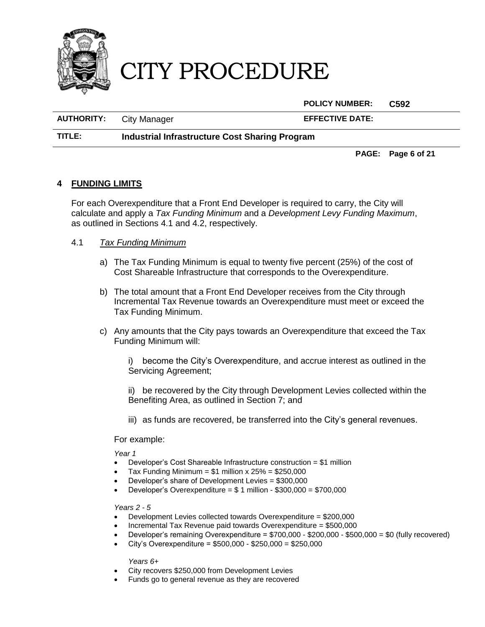

**POLICY NUMBER: C592**

**AUTHORITY:** City Manager **EFFECTIVE DATE:**

**TITLE: Industrial Infrastructure Cost Sharing Program**

**PAGE: Page 6 of 21**

## **4 FUNDING LIMITS**

For each Overexpenditure that a Front End Developer is required to carry, the City will calculate and apply a *Tax Funding Minimum* and a *Development Levy Funding Maximum*, as outlined in Sections [4.1](#page-7-0) and [4.2,](#page-8-0) respectively.

## <span id="page-7-0"></span>4.1 *Tax Funding Minimum*

- a) The Tax Funding Minimum is equal to twenty five percent (25%) of the cost of Cost Shareable Infrastructure that corresponds to the Overexpenditure.
- b) The total amount that a Front End Developer receives from the City through Incremental Tax Revenue towards an Overexpenditure must meet or exceed the Tax Funding Minimum.
- c) Any amounts that the City pays towards an Overexpenditure that exceed the Tax Funding Minimum will:
	- i) become the City's Overexpenditure, and accrue interest as outlined in the Servicing Agreement;
	- ii) be recovered by the City through Development Levies collected within the Benefiting Area, as outlined in Section [7;](#page-17-0) and
	- iii) as funds are recovered, be transferred into the City's general revenues.

### For example:

*Year 1*

- Developer's Cost Shareable Infrastructure construction = \$1 million
- Tax Funding Minimum =  $$1$  million x  $25\%$  =  $$250,000$
- Developer's share of Development Levies = \$300,000
- $\bullet$  Developer's Overexpenditure = \$ 1 million \$300,000 = \$700,000

*Years 2 - 5*

- Development Levies collected towards Overexpenditure = \$200,000
- Incremental Tax Revenue paid towards Overexpenditure = \$500,000
- Developer's remaining Overexpenditure = \$700,000 \$200,000 \$500,000 = \$0 (fully recovered)
- City's Overexpenditure =  $$500,000 $250,000 = $250,000$

*Years 6+*

- City recovers \$250,000 from Development Levies
- Funds go to general revenue as they are recovered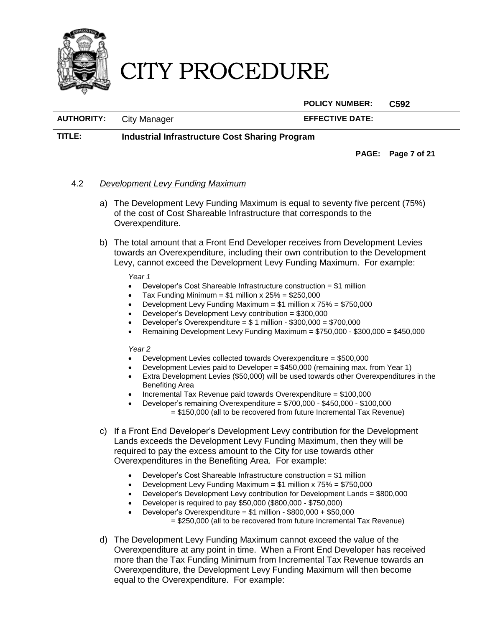

**POLICY NUMBER: C592**

**AUTHORITY:** City Manager **EFFECTIVE DATE:**

**TITLE: Industrial Infrastructure Cost Sharing Program**

**PAGE: Page 7 of 21**

# <span id="page-8-0"></span>4.2 *Development Levy Funding Maximum*

- a) The Development Levy Funding Maximum is equal to seventy five percent (75%) of the cost of Cost Shareable Infrastructure that corresponds to the Overexpenditure.
- b) The total amount that a Front End Developer receives from Development Levies towards an Overexpenditure, including their own contribution to the Development Levy, cannot exceed the Development Levy Funding Maximum. For example:

#### *Year 1*

- Developer's Cost Shareable Infrastructure construction = \$1 million
- Tax Funding Minimum =  $$1$  million x  $25\%$  =  $$250,000$
- Development Levy Funding Maximum = \$1 million x 75% = \$750,000
- Developer's Development Levy contribution = \$300,000
- Developer's Overexpenditure = \$ 1 million \$300,000 = \$700,000
- Remaining Development Levy Funding Maximum = \$750,000 \$300,000 = \$450,000

### *Year 2*

- Development Levies collected towards Overexpenditure = \$500,000
- Development Levies paid to Developer = \$450,000 (remaining max. from Year 1)
- Extra Development Levies (\$50,000) will be used towards other Overexpenditures in the Benefiting Area
- Incremental Tax Revenue paid towards Overexpenditure = \$100,000
- Developer's remaining Overexpenditure = \$700,000 \$450,000 \$100,000 = \$150,000 (all to be recovered from future Incremental Tax Revenue)
- c) If a Front End Developer's Development Levy contribution for the Development Lands exceeds the Development Levy Funding Maximum, then they will be required to pay the excess amount to the City for use towards other Overexpenditures in the Benefiting Area. For example:
	- Developer's Cost Shareable Infrastructure construction = \$1 million
	- Development Levy Funding Maximum = \$1 million x 75% = \$750,000
	- Developer's Development Levy contribution for Development Lands = \$800,000
	- Developer is required to pay \$50,000 (\$800,000 \$750,000)
		- Developer's Overexpenditure = \$1 million \$800,000 + \$50,000 = \$250,000 (all to be recovered from future Incremental Tax Revenue)
- d) The Development Levy Funding Maximum cannot exceed the value of the Overexpenditure at any point in time. When a Front End Developer has received more than the Tax Funding Minimum from Incremental Tax Revenue towards an Overexpenditure, the Development Levy Funding Maximum will then become equal to the Overexpenditure. For example: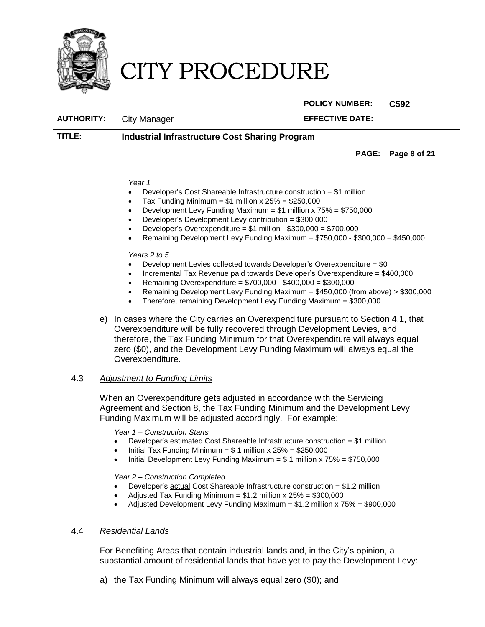

**POLICY NUMBER: C592**

AUTHORITY: City Manager **EFFECTIVE DATE:** 

## **TITLE: Industrial Infrastructure Cost Sharing Program**

**PAGE: Page 8 of 21**

#### *Year 1*

- Developer's Cost Shareable Infrastructure construction = \$1 million
- Tax Funding Minimum =  $$1$  million x  $25\%$  =  $$250,000$
- Development Levy Funding Maximum =  $$1$  million x  $75\%$  =  $$750,000$
- Developer's Development Levy contribution = \$300,000
- Developer's Overexpenditure = \$1 million \$300,000 = \$700,000
- Remaining Development Levy Funding Maximum = \$750,000 \$300,000 = \$450,000

#### *Years 2 to 5*

- $\bullet$  Development Levies collected towards Developer's Overexpenditure = \$0
- Incremental Tax Revenue paid towards Developer's Overexpenditure = \$400,000
- Remaining Overexpenditure = \$700,000 \$400,000 = \$300,000
- Remaining Development Levy Funding Maximum = \$450,000 (from above) > \$300,000
- Therefore, remaining Development Levy Funding Maximum = \$300,000
- e) In cases where the City carries an Overexpenditure pursuant to Section [4.1,](#page-7-0) that Overexpenditure will be fully recovered through Development Levies, and therefore, the Tax Funding Minimum for that Overexpenditure will always equal zero (\$0), and the Development Levy Funding Maximum will always equal the Overexpenditure.

### 4.3 *Adjustment to Funding Limits*

When an Overexpenditure gets adjusted in accordance with the Servicing Agreement and Section [8,](#page-20-0) the Tax Funding Minimum and the Development Levy Funding Maximum will be adjusted accordingly. For example:

*Year 1 – Construction Starts*

- Developer's estimated Cost Shareable Infrastructure construction = \$1 million
- Initial Tax Funding Minimum =  $$1$  million x 25% = \$250,000
- $\bullet$  Initial Development Levy Funding Maximum = \$1 million x 75% = \$750,000

*Year 2 – Construction Completed*

- Developer's actual Cost Shareable Infrastructure construction = \$1.2 million
- Adjusted Tax Funding Minimum =  $$1.2$  million x  $25\%$  =  $$300,000$
- Adjusted Development Levy Funding Maximum = \$1.2 million x 75% = \$900,000

### <span id="page-9-0"></span>4.4 *Residential Lands*

For Benefiting Areas that contain industrial lands and, in the City's opinion, a substantial amount of residential lands that have yet to pay the Development Levy:

a) the Tax Funding Minimum will always equal zero (\$0); and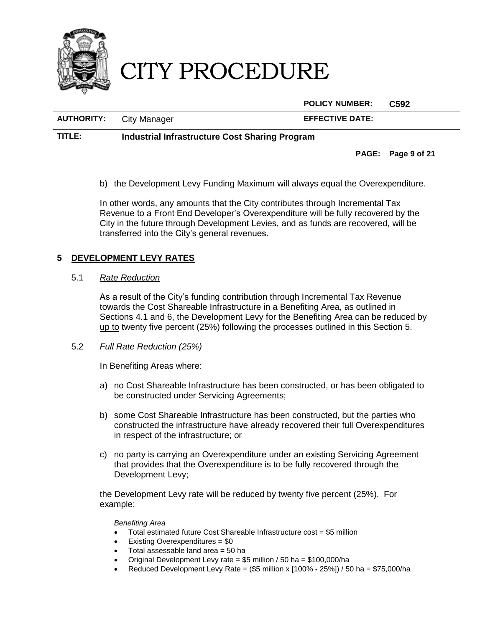

**POLICY NUMBER: C592**

| <b>AUTHORITY:</b> | <b>City Manager</b> |  | <b>EFFECTIVE DATE:</b> |
|-------------------|---------------------|--|------------------------|
| _____             |                     |  |                        |

**TITLE: Industrial Infrastructure Cost Sharing Program**

**PAGE: Page 9 of 21**

b) the Development Levy Funding Maximum will always equal the Overexpenditure.

In other words, any amounts that the City contributes through Incremental Tax Revenue to a Front End Developer's Overexpenditure will be fully recovered by the City in the future through Development Levies, and as funds are recovered, will be transferred into the City's general revenues.

# <span id="page-10-0"></span>**5 DEVELOPMENT LEVY RATES**

## 5.1 *Rate Reduction*

As a result of the City's funding contribution through Incremental Tax Revenue towards the Cost Shareable Infrastructure in a Benefiting Area, as outlined in Sections [4.1](#page-7-0) and [6,](#page-12-2) the Development Levy for the Benefiting Area can be reduced by up to twenty five percent (25%) following the processes outlined in this Section [5.](#page-10-0)

# 5.2 *Full Rate Reduction (25%)*

In Benefiting Areas where:

- a) no Cost Shareable Infrastructure has been constructed, or has been obligated to be constructed under Servicing Agreements;
- b) some Cost Shareable Infrastructure has been constructed, but the parties who constructed the infrastructure have already recovered their full Overexpenditures in respect of the infrastructure; or
- c) no party is carrying an Overexpenditure under an existing Servicing Agreement that provides that the Overexpenditure is to be fully recovered through the Development Levy;

the Development Levy rate will be reduced by twenty five percent (25%). For example:

*Benefiting Area*

- Total estimated future Cost Shareable Infrastructure cost = \$5 million
- Existing Overexpenditures = \$0
- Total assessable land area = 50 ha<br>• Original Development Levy rate = \$
- Original Development Levy rate =  $$5$  million / 50 ha =  $$100,000/$ ha<br>• Reduced Development Levy Rate =  $($5$  million x  $[100\% 25\%]$  / 50
- Reduced Development Levy Rate =  $($5$  million x  $[100\% 25\%]$  / 50 ha = \$75,000/ha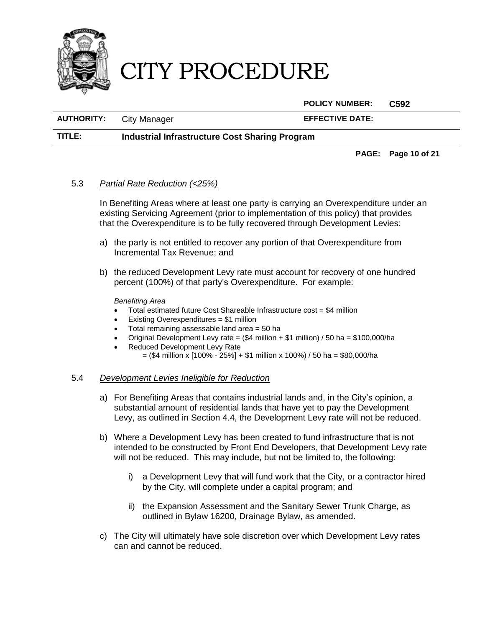

**POLICY NUMBER: C592**

**AUTHORITY:** City Manager **EFFECTIVE DATE:**

### **TITLE: Industrial Infrastructure Cost Sharing Program**

**PAGE: Page 10 of 21**

### <span id="page-11-0"></span>5.3 *Partial Rate Reduction (<25%)*

In Benefiting Areas where at least one party is carrying an Overexpenditure under an existing Servicing Agreement (prior to implementation of this policy) that provides that the Overexpenditure is to be fully recovered through Development Levies:

- a) the party is not entitled to recover any portion of that Overexpenditure from Incremental Tax Revenue; and
- <span id="page-11-1"></span>b) the reduced Development Levy rate must account for recovery of one hundred percent (100%) of that party's Overexpenditure. For example:

*Benefiting Area*

- Total estimated future Cost Shareable Infrastructure cost = \$4 million
- Existing Overexpenditures = \$1 million
- Total remaining assessable land area = 50 ha
- Original Development Levy rate =  $($4 \text{ million} + $1 \text{ million}) / 50 \text{ ha} = $100,000/\text{ha}$
- Reduced Development Levy Rate
	- $=$  (\$4 million x [100% 25%] + \$1 million x 100%) / 50 ha = \$80,000/ha

### 5.4 *Development Levies Ineligible for Reduction*

- a) For Benefiting Areas that contains industrial lands and, in the City's opinion, a substantial amount of residential lands that have yet to pay the Development Levy, as outlined in Section [4.4,](#page-9-0) the Development Levy rate will not be reduced.
- b) Where a Development Levy has been created to fund infrastructure that is not intended to be constructed by Front End Developers, that Development Levy rate will not be reduced. This may include, but not be limited to, the following:
	- i) a Development Levy that will fund work that the City, or a contractor hired by the City, will complete under a capital program; and
	- ii) the Expansion Assessment and the Sanitary Sewer Trunk Charge, as outlined in Bylaw 16200, Drainage Bylaw, as amended.
- c) The City will ultimately have sole discretion over which Development Levy rates can and cannot be reduced.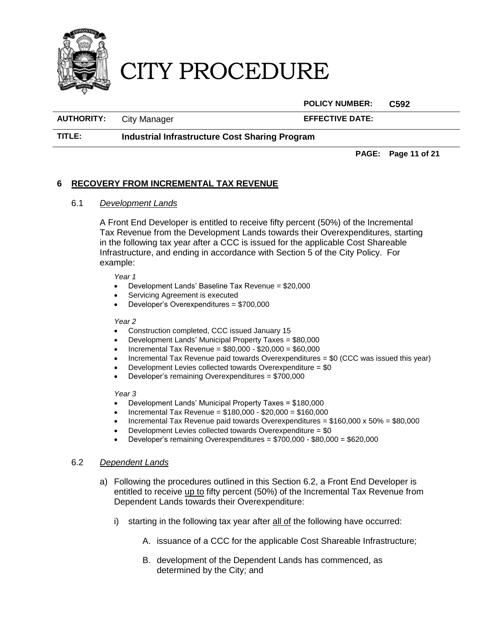

**POLICY NUMBER: C592**

**AUTHORITY:** City Manager **EFFECTIVE DATE:**

**TITLE: Industrial Infrastructure Cost Sharing Program**

**PAGE: Page 11 of 21**

### <span id="page-12-2"></span><span id="page-12-1"></span>**6 RECOVERY FROM INCREMENTAL TAX REVENUE**

### 6.1 *Development Lands*

A Front End Developer is entitled to receive fifty percent (50%) of the Incremental Tax Revenue from the Development Lands towards their Overexpenditures, starting in the following tax year after a CCC is issued for the applicable Cost Shareable Infrastructure, and ending in accordance with Section [5](#page-0-0) of the City Policy. For example:

*Year 1*

- Development Lands' Baseline Tax Revenue = \$20,000
- Servicing Agreement is executed
- Developer's Overexpenditures = \$700,000

#### *Year 2*

- Construction completed, CCC issued January 15
- Development Lands' Municipal Property Taxes = \$80,000
- Incremental Tax Revenue = \$80,000 \$20,000 = \$60,000
- Incremental Tax Revenue paid towards Overexpenditures = \$0 (CCC was issued this year)
- Development Levies collected towards Overexpenditure = \$0
- Developer's remaining Overexpenditures = \$700,000

*Year 3*

- Development Lands' Municipal Property Taxes = \$180,000
- Incremental Tax Revenue = \$180,000 \$20,000 = \$160,000
- Incremental Tax Revenue paid towards Overexpenditures =  $$160,000 \times 50\% = $80,000$
- Development Levies collected towards Overexpenditure = \$0
- Developer's remaining Overexpenditures = \$700,000 \$80,000 = \$620,000

### <span id="page-12-0"></span>6.2 *Dependent Lands*

- a) Following the procedures outlined in this Section [6.2,](#page-12-0) a Front End Developer is entitled to receive up to fifty percent (50%) of the Incremental Tax Revenue from Dependent Lands towards their Overexpenditure:
	- i) starting in the following tax year after all of the following have occurred:
		- A. issuance of a CCC for the applicable Cost Shareable Infrastructure;
		- B. development of the Dependent Lands has commenced, as determined by the City; and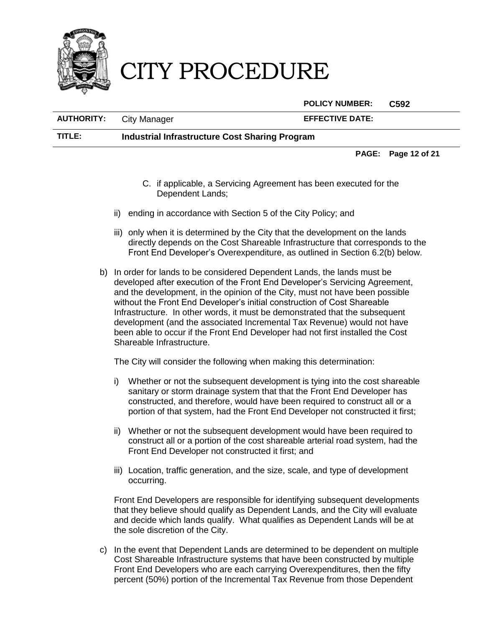

**POLICY NUMBER: C592**

**AUTHORITY:** City Manager **EFFECTIVE DATE:**

**TITLE: Industrial Infrastructure Cost Sharing Program**

**PAGE: Page 12 of 21**

- C. if applicable, a Servicing Agreement has been executed for the Dependent Lands;
- ii) ending in accordance with Section [5](#page-0-0) of the City Policy; and
- iii) only when it is determined by the City that the development on the lands directly depends on the Cost Shareable Infrastructure that corresponds to the Front End Developer's Overexpenditure, as outlined in Section [6.2](#page-12-0)[\(b\)](#page-13-0) below.
- <span id="page-13-0"></span>b) In order for lands to be considered Dependent Lands, the lands must be developed after execution of the Front End Developer's Servicing Agreement, and the development, in the opinion of the City, must not have been possible without the Front End Developer's initial construction of Cost Shareable Infrastructure. In other words, it must be demonstrated that the subsequent development (and the associated Incremental Tax Revenue) would not have been able to occur if the Front End Developer had not first installed the Cost Shareable Infrastructure.

The City will consider the following when making this determination:

- i) Whether or not the subsequent development is tying into the cost shareable sanitary or storm drainage system that that the Front End Developer has constructed, and therefore, would have been required to construct all or a portion of that system, had the Front End Developer not constructed it first;
- ii) Whether or not the subsequent development would have been required to construct all or a portion of the cost shareable arterial road system, had the Front End Developer not constructed it first; and
- iii) Location, traffic generation, and the size, scale, and type of development occurring.

Front End Developers are responsible for identifying subsequent developments that they believe should qualify as Dependent Lands, and the City will evaluate and decide which lands qualify. What qualifies as Dependent Lands will be at the sole discretion of the City.

c) In the event that Dependent Lands are determined to be dependent on multiple Cost Shareable Infrastructure systems that have been constructed by multiple Front End Developers who are each carrying Overexpenditures, then the fifty percent (50%) portion of the Incremental Tax Revenue from those Dependent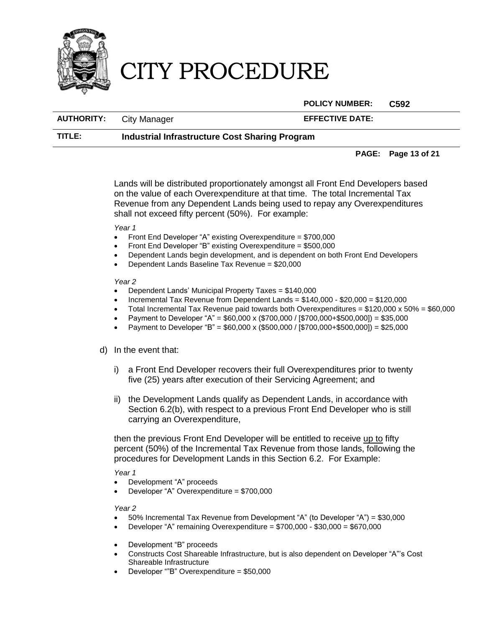

### **POLICY NUMBER: C592**

**AUTHORITY:** City Manager **EFFECTIVE DATE:**

### **TITLE: Industrial Infrastructure Cost Sharing Program**

### **PAGE: Page 13 of 21**

Lands will be distributed proportionately amongst all Front End Developers based on the value of each Overexpenditure at that time. The total Incremental Tax Revenue from any Dependent Lands being used to repay any Overexpenditures shall not exceed fifty percent (50%). For example:

#### *Year 1*

- Front End Developer "A" existing Overexpenditure = \$700,000
- Front End Developer "B" existing Overexpenditure = \$500,000
- Dependent Lands begin development, and is dependent on both Front End Developers
- Dependent Lands Baseline Tax Revenue = \$20,000

#### *Year 2*

- Dependent Lands' Municipal Property Taxes = \$140,000
- Incremental Tax Revenue from Dependent Lands = \$140,000 \$20,000 = \$120,000
- Total Incremental Tax Revenue paid towards both Overexpenditures =  $$120,000 \times 50\% = $60,000$
- Payment to Developer "A" = \$60,000 x (\$700,000 / [\$700,000+\$500,000]) = \$35,000
- Payment to Developer "B" = \$60,000 x (\$500,000 / [\$700,000+\$500,000]) = \$25,000

### <span id="page-14-0"></span>d) In the event that:

- i) a Front End Developer recovers their full Overexpenditures prior to twenty five (25) years after execution of their Servicing Agreement; and
- ii) the Development Lands qualify as Dependent Lands, in accordance with Section [6.2](#page-12-0)[\(b\),](#page-13-0) with respect to a previous Front End Developer who is still carrying an Overexpenditure,

then the previous Front End Developer will be entitled to receive up to fifty percent (50%) of the Incremental Tax Revenue from those lands, following the procedures for Development Lands in this Section [6.2.](#page-12-0) For Example:

*Year 1*

- Development "A" proceeds
- Developer "A" Overexpenditure = \$700,000

*Year 2*

- 50% Incremental Tax Revenue from Development "A" (to Developer "A") = \$30,000
- Developer "A" remaining Overexpenditure = \$700,000 \$30,000 = \$670,000
- Development "B" proceeds
- Constructs Cost Shareable Infrastructure, but is also dependent on Developer "A"'s Cost Shareable Infrastructure
- Developer ""B" Overexpenditure = \$50,000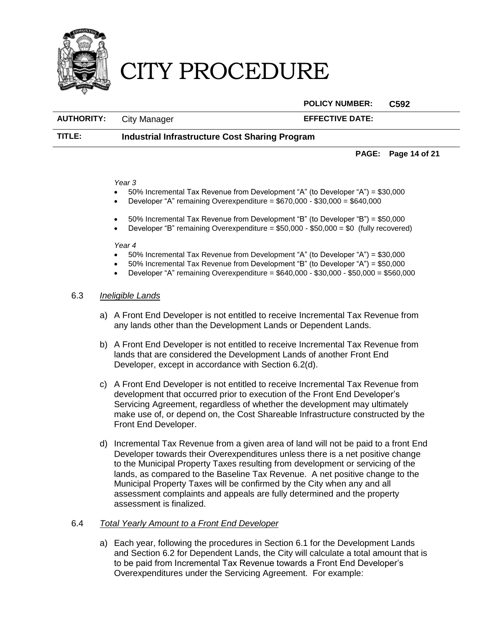

**POLICY NUMBER: C592**

| <b>AUTHORITY:</b> |             |
|-------------------|-------------|
|                   | City Manage |

**AUTHORITY:** CITY Manager **EFFECTIVE DATE:** 

## **TITLE: Industrial Infrastructure Cost Sharing Program**

#### **PAGE: Page 14 of 21**

#### *Year 3*

- 50% Incremental Tax Revenue from Development "A" (to Developer "A") = \$30,000
- Developer "A" remaining Overexpenditure = \$670,000 \$30,000 = \$640,000
- 50% Incremental Tax Revenue from Development "B" (to Developer "B") = \$50,000
- **•** Developer "B" remaining Overexpenditure  $= $50,000 $50,000 = $0$  (fully recovered)

#### *Year 4*

- 50% Incremental Tax Revenue from Development "A" (to Developer "A") = \$30,000
- 50% Incremental Tax Revenue from Development "B" (to Developer "A") = \$50,000
- Developer "A" remaining Overexpenditure = \$640,000 \$30,000 \$50,000 = \$560,000

### 6.3 *Ineligible Lands*

- a) A Front End Developer is not entitled to receive Incremental Tax Revenue from any lands other than the Development Lands or Dependent Lands.
- b) A Front End Developer is not entitled to receive Incremental Tax Revenue from lands that are considered the Development Lands of another Front End Developer, except in accordance with Section [6.2](#page-12-0)[\(d\).](#page-14-0)
- c) A Front End Developer is not entitled to receive Incremental Tax Revenue from development that occurred prior to execution of the Front End Developer's Servicing Agreement, regardless of whether the development may ultimately make use of, or depend on, the Cost Shareable Infrastructure constructed by the Front End Developer.
- d) Incremental Tax Revenue from a given area of land will not be paid to a front End Developer towards their Overexpenditures unless there is a net positive change to the Municipal Property Taxes resulting from development or servicing of the lands, as compared to the Baseline Tax Revenue. A net positive change to the Municipal Property Taxes will be confirmed by the City when any and all assessment complaints and appeals are fully determined and the property assessment is finalized.

### 6.4 *Total Yearly Amount to a Front End Developer*

a) Each year, following the procedures in Section [6.1](#page-12-1) for the Development Lands and Section [6.2](#page-12-0) for Dependent Lands, the City will calculate a total amount that is to be paid from Incremental Tax Revenue towards a Front End Developer's Overexpenditures under the Servicing Agreement. For example: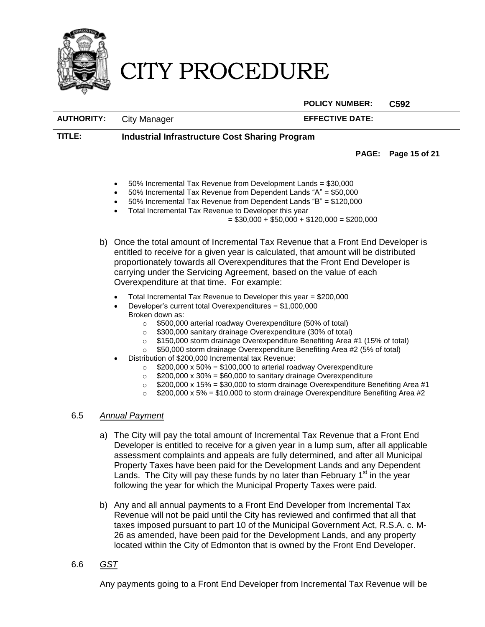

**POLICY NUMBER: C592**

**AUTHORITY:** City Manager **EFFECTIVE DATE:**

**TITLE: Industrial Infrastructure Cost Sharing Program**

**PAGE: Page 15 of 21**

- 50% Incremental Tax Revenue from Development Lands = \$30,000
- 50% Incremental Tax Revenue from Dependent Lands "A" = \$50,000
- 50% Incremental Tax Revenue from Dependent Lands "B" = \$120,000
- Total Incremental Tax Revenue to Developer this year
	- $= $30,000 + $50,000 + $120,000 = $200,000$
- b) Once the total amount of Incremental Tax Revenue that a Front End Developer is entitled to receive for a given year is calculated, that amount will be distributed proportionately towards all Overexpenditures that the Front End Developer is carrying under the Servicing Agreement, based on the value of each Overexpenditure at that time. For example:
	- Total Incremental Tax Revenue to Developer this year = \$200,000
	- Developer's current total Overexpenditures = \$1,000,000 Broken down as:
		- o \$500,000 arterial roadway Overexpenditure (50% of total)
		- o \$300,000 sanitary drainage Overexpenditure (30% of total)
		- o \$150,000 storm drainage Overexpenditure Benefiting Area #1 (15% of total)
		- o \$50,000 storm drainage Overexpenditure Benefiting Area #2 (5% of total)
	- Distribution of \$200,000 Incremental tax Revenue:
		- $\degree$  \$200,000 x 50% = \$100,000 to arterial roadway Overexpenditure<br> $\degree$  \$200,000 x 30% = \$60,000 to sanitary drainage Overexpenditure
		- $$200,000 \times 30\% = $60,000$  to sanitary drainage Overexpenditure
		- $\degree$  \$200,000 x 15% = \$30,000 to storm drainage Overexpenditure Benefiting Area #1
		- \$200,000 x 5% = \$10,000 to storm drainage Overexpenditure Benefiting Area #2

### 6.5 *Annual Payment*

- a) The City will pay the total amount of Incremental Tax Revenue that a Front End Developer is entitled to receive for a given year in a lump sum, after all applicable assessment complaints and appeals are fully determined, and after all Municipal Property Taxes have been paid for the Development Lands and any Dependent Lands. The City will pay these funds by no later than February 1<sup>st</sup> in the year following the year for which the Municipal Property Taxes were paid.
- b) Any and all annual payments to a Front End Developer from Incremental Tax Revenue will not be paid until the City has reviewed and confirmed that all that taxes imposed pursuant to part 10 of the Municipal Government Act, R.S.A. c. M-26 as amended, have been paid for the Development Lands, and any property located within the City of Edmonton that is owned by the Front End Developer.
- 6.6 *GST*

Any payments going to a Front End Developer from Incremental Tax Revenue will be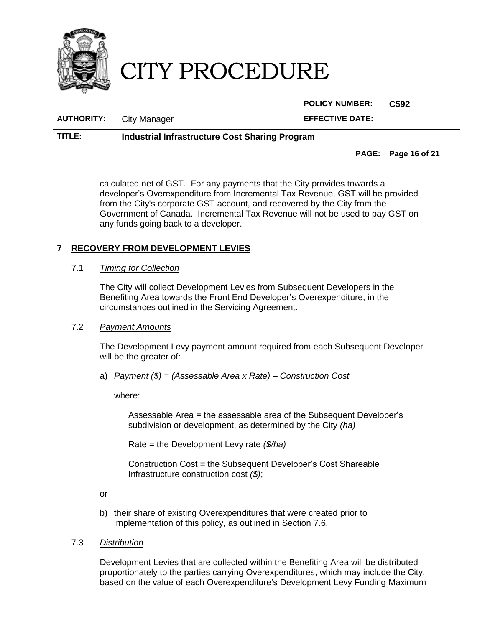

**POLICY NUMBER: C592**

**AUTHORITY:** City Manager **EFFECTIVE DATE:**

## **TITLE: Industrial Infrastructure Cost Sharing Program**

**PAGE: Page 16 of 21**

calculated net of GST. For any payments that the City provides towards a developer's Overexpenditure from Incremental Tax Revenue, GST will be provided from the City's corporate GST account, and recovered by the City from the Government of Canada. Incremental Tax Revenue will not be used to pay GST on any funds going back to a developer.

# <span id="page-17-0"></span>**7 RECOVERY FROM DEVELOPMENT LEVIES**

## 7.1 *Timing for Collection*

The City will collect Development Levies from Subsequent Developers in the Benefiting Area towards the Front End Developer's Overexpenditure, in the circumstances outlined in the Servicing Agreement.

### <span id="page-17-1"></span>7.2 *Payment Amounts*

The Development Levy payment amount required from each Subsequent Developer will be the greater of:

<span id="page-17-2"></span>a) *Payment (\$) = (Assessable Area x Rate) – Construction Cost*

where:

Assessable Area = the assessable area of the Subsequent Developer's subdivision or development, as determined by the City *(ha)*

Rate = the Development Levy rate *(\$/ha)*

Construction Cost = the Subsequent Developer's Cost Shareable Infrastructure construction cost *(\$)*;

or

- b) their share of existing Overexpenditures that were created prior to implementation of this policy, as outlined in Section [7.6.](#page-19-0)
- 7.3 *Distribution*

Development Levies that are collected within the Benefiting Area will be distributed proportionately to the parties carrying Overexpenditures, which may include the City, based on the value of each Overexpenditure's Development Levy Funding Maximum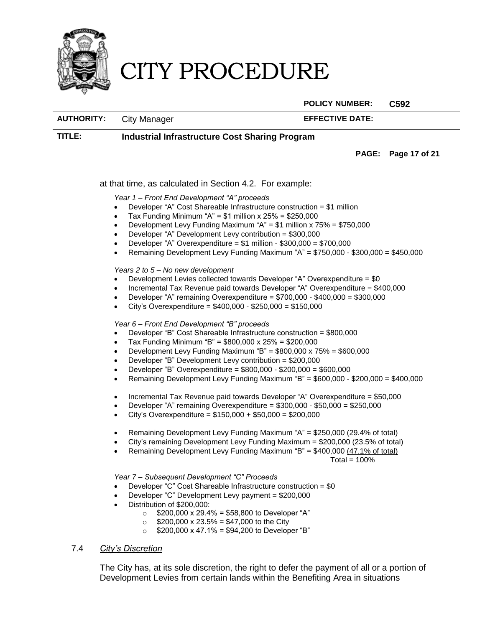

**POLICY NUMBER: C592**

**AUTHORITY:** City Manager **EFFECTIVE DATE:**

**TITLE: Industrial Infrastructure Cost Sharing Program**

#### **PAGE: Page 17 of 21**

at that time, as calculated in Section [4.2.](#page-8-0) For example:

*Year 1 – Front End Development "A" proceeds*

- $\bullet$  Developer "A" Cost Shareable Infrastructure construction = \$1 million
- Tax Funding Minimum "A" = \$1 million x 25% = \$250,000
- Development Levy Funding Maximum " $A$ " = \$1 million x 75% = \$750,000
- Developer "A" Development Levy contribution = \$300,000
- Developer "A" Overexpenditure = \$1 million \$300,000 = \$700,000
- Remaining Development Levy Funding Maximum "A" = \$750,000 \$300,000 = \$450,000

#### *Years 2 to 5 – No new development*

- Development Levies collected towards Developer "A" Overexpenditure = \$0
- Incremental Tax Revenue paid towards Developer "A" Overexpenditure = \$400,000
- Developer "A" remaining Overexpenditure = \$700,000 \$400,000 = \$300,000
- City's Overexpenditure = \$400,000 \$250,000 = \$150,000

### *Year 6 – Front End Development "B" proceeds*

- Developer "B" Cost Shareable Infrastructure construction = \$800,000
- Tax Funding Minimum "B" = \$800,000 x 25% = \$200,000
- Development Levy Funding Maximum "B" = \$800,000 x 75% = \$600,000
- Developer "B" Development Levy contribution = \$200,000
- Developer "B" Overexpenditure = \$800,000 \$200,000 = \$600,000
- Remaining Development Levy Funding Maximum "B" = \$600,000 \$200,000 = \$400,000
- Incremental Tax Revenue paid towards Developer "A" Overexpenditure = \$50,000
- Developer "A" remaining Overexpenditure = \$300,000 \$50,000 = \$250,000
- City's Overexpenditure = \$150,000 + \$50,000 = \$200,000
- Remaining Development Levy Funding Maximum "A" = \$250,000 (29.4% of total)
- City's remaining Development Levy Funding Maximum = \$200,000 (23.5% of total)
- Remaining Development Levy Funding Maximum "B" = \$400,000 (47.1% of total)

```
Total = 100\%
```
### *Year 7 – Subsequent Development "C" Proceeds*

- Developer "C" Cost Shareable Infrastructure construction = \$0
- Developer "C" Development Levy payment = \$200,000
- Distribution of \$200,000:
	- $\circ$  \$200,000 x 29.4% = \$58,800 to Developer "A"
	- $\circ$  \$200,000 x 23.5% = \$47,000 to the City
	- $\circ$  \$200,000 x 47.1% = \$94,200 to Developer "B"

### 7.4 *City's Discretion*

The City has, at its sole discretion, the right to defer the payment of all or a portion of Development Levies from certain lands within the Benefiting Area in situations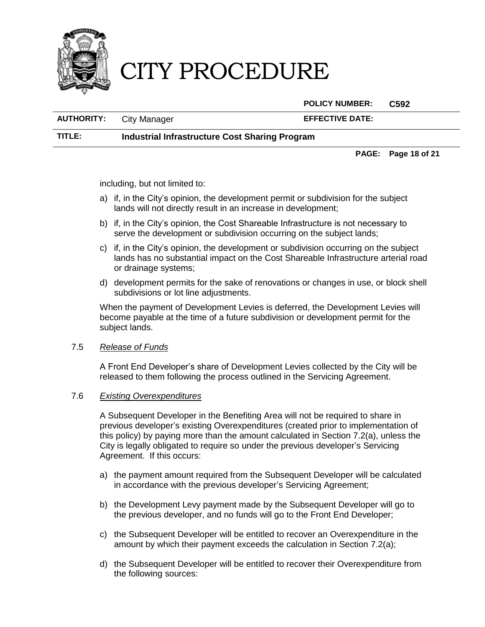

**POLICY NUMBER: C592**

**AUTHORITY:** City Manager **EFFECTIVE DATE:**

**TITLE: Industrial Infrastructure Cost Sharing Program**

**PAGE: Page 18 of 21**

including, but not limited to:

- a) if, in the City's opinion, the development permit or subdivision for the subject lands will not directly result in an increase in development;
- b) if, in the City's opinion, the Cost Shareable Infrastructure is not necessary to serve the development or subdivision occurring on the subject lands;
- c) if, in the City's opinion, the development or subdivision occurring on the subject lands has no substantial impact on the Cost Shareable Infrastructure arterial road or drainage systems;
- d) development permits for the sake of renovations or changes in use, or block shell subdivisions or lot line adiustments.

When the payment of Development Levies is deferred, the Development Levies will become payable at the time of a future subdivision or development permit for the subject lands.

### 7.5 *Release of Funds*

A Front End Developer's share of Development Levies collected by the City will be released to them following the process outlined in the Servicing Agreement.

### <span id="page-19-0"></span>7.6 *Existing Overexpenditures*

A Subsequent Developer in the Benefiting Area will not be required to share in previous developer's existing Overexpenditures (created prior to implementation of this policy) by paying more than the amount calculated in Section [7.2](#page-17-1)[\(a\),](#page-17-2) unless the City is legally obligated to require so under the previous developer's Servicing Agreement. If this occurs:

- a) the payment amount required from the Subsequent Developer will be calculated in accordance with the previous developer's Servicing Agreement;
- b) the Development Levy payment made by the Subsequent Developer will go to the previous developer, and no funds will go to the Front End Developer;
- c) the Subsequent Developer will be entitled to recover an Overexpenditure in the amount by which their payment exceeds the calculation in Section [7.2\(](#page-17-1)[a\);](#page-17-2)
- d) the Subsequent Developer will be entitled to recover their Overexpenditure from the following sources: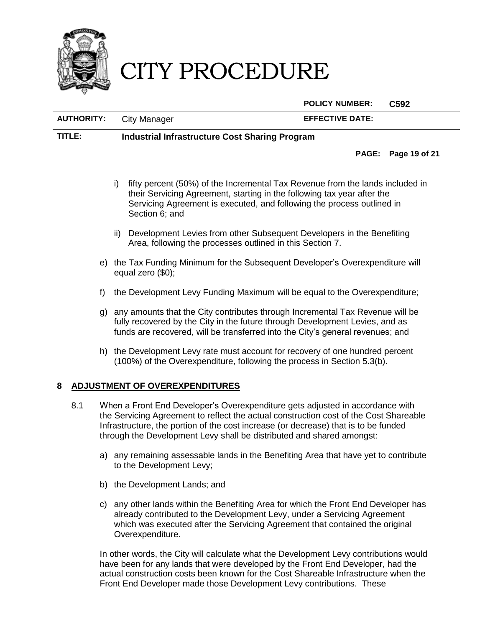

**POLICY NUMBER: C592**

**AUTHORITY:** City Manager **EFFECTIVE DATE: TITLE: Industrial Infrastructure Cost Sharing Program**

**PAGE: Page 19 of 21**

- i) fifty percent (50%) of the Incremental Tax Revenue from the lands included in their Servicing Agreement, starting in the following tax year after the Servicing Agreement is executed, and following the process outlined in Section [6;](#page-12-2) and
- ii) Development Levies from other Subsequent Developers in the Benefiting Area, following the processes outlined in this Section [7.](#page-17-0)
- e) the Tax Funding Minimum for the Subsequent Developer's Overexpenditure will equal zero (\$0);
- f) the Development Levy Funding Maximum will be equal to the Overexpenditure;
- g) any amounts that the City contributes through Incremental Tax Revenue will be fully recovered by the City in the future through Development Levies, and as funds are recovered, will be transferred into the City's general revenues; and
- h) the Development Levy rate must account for recovery of one hundred percent (100%) of the Overexpenditure, following the process in Section [5.3](#page-11-0)[\(b\).](#page-11-1)

### <span id="page-20-0"></span>**8 ADJUSTMENT OF OVEREXPENDITURES**

- 8.1 When a Front End Developer's Overexpenditure gets adjusted in accordance with the Servicing Agreement to reflect the actual construction cost of the Cost Shareable Infrastructure, the portion of the cost increase (or decrease) that is to be funded through the Development Levy shall be distributed and shared amongst:
	- a) any remaining assessable lands in the Benefiting Area that have yet to contribute to the Development Levy;
	- b) the Development Lands; and
	- c) any other lands within the Benefiting Area for which the Front End Developer has already contributed to the Development Levy, under a Servicing Agreement which was executed after the Servicing Agreement that contained the original Overexpenditure.

In other words, the City will calculate what the Development Levy contributions would have been for any lands that were developed by the Front End Developer, had the actual construction costs been known for the Cost Shareable Infrastructure when the Front End Developer made those Development Levy contributions. These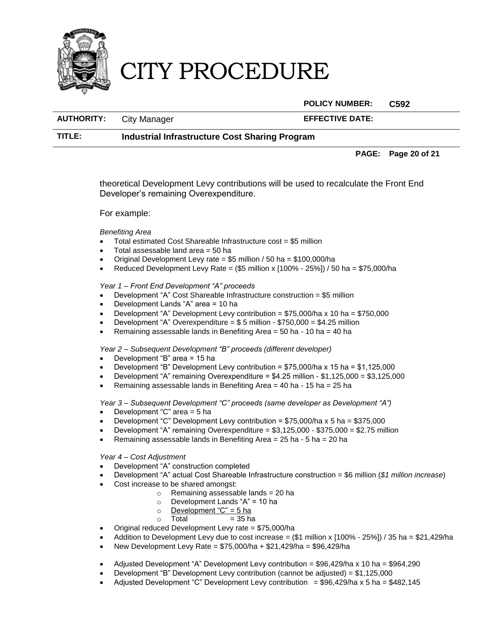

**POLICY NUMBER: C592**

**AUTHORITY:** City Manager **EFFECTIVE DATE:**

# **TITLE: Industrial Infrastructure Cost Sharing Program**

**PAGE: Page 20 of 21**

theoretical Development Levy contributions will be used to recalculate the Front End Developer's remaining Overexpenditure.

For example:

*Benefiting Area*

- Total estimated Cost Shareable Infrastructure cost = \$5 million
- Total assessable land area = 50 ha
- $\bullet$  Original Development Levy rate = \$5 million / 50 ha = \$100,000/ha
- Reduced Development Levy Rate =  $(\$5$  million x  $[100\% 25\%]$  / 50 ha = \$75,000/ha

*Year 1 – Front End Development "A" proceeds*

- Development "A" Cost Shareable Infrastructure construction = \$5 million
- Development Lands "A" area = 10 ha
- Development "A" Development Levy contribution =  $$75,000/ha \times 10 ha = $750,000$
- Development "A" Overexpenditure = \$ 5 million \$750,000 = \$4.25 million
- Remaining assessable lands in Benefiting Area = 50 ha 10 ha = 40 ha

*Year 2 – Subsequent Development "B" proceeds (different developer)*

- Development "B" area = 15 ha
- Development "B" Development Levy contribution = \$75,000/ha x 15 ha = \$1,125,000
- Development "A" remaining Overexpenditure =  $$4.25$  million  $$1,125,000 = $3,125,000$
- **•** Remaining assessable lands in Benefiting Area = 40 ha 15 ha = 25 ha

*Year 3 – Subsequent Development "C" proceeds (same developer as Development "A")*

- Development "C" area = 5 ha
- Development "C" Development Levy contribution =  $$75,000/ha \times 5 ha = $375,000$
- Development "A" remaining Overexpenditure = \$3,125,000 \$375,000 = \$2.75 million
- Remaining assessable lands in Benefiting Area = 25 ha 5 ha = 20 ha

*Year 4 – Cost Adjustment*

- Development "A" construction completed
- Development "A" actual Cost Shareable Infrastructure construction = \$6 million (*\$1 million increase*)
- Cost increase to be shared amongst:
	- o Remaining assessable lands = 20 ha
	- o Development Lands "A" = 10 ha
	- $\frac{5}{2}$  Development "C" = 5 ha
	- $\circ$  Total = 35 ha
- Original reduced Development Levy rate = \$75,000/ha
- Addition to Development Levy due to cost increase =  $($1 \text{ million} \times [100\% 25\%]) / 35 \text{ ha} = $21.429/\text{ha}$
- New Development Levy Rate =  $$75,000/ha + $21,429/ha = $96,429/ha$
- Adjusted Development "A" Development Levy contribution =  $$96,429/ha \times 10$  ha =  $$964,290$
- Development "B" Development Levy contribution (cannot be adjusted) = \$1,125,000
- Adjusted Development "C" Development Levy contribution =  $$96,429/ha \times 5 ha = $482,145$